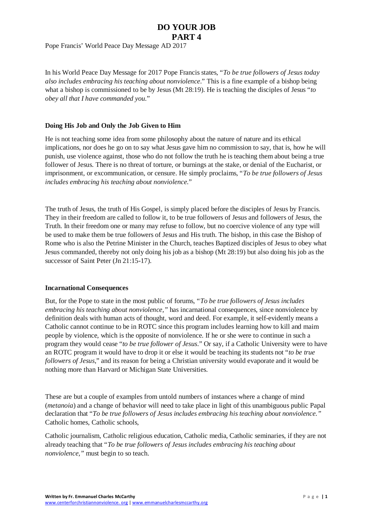## **DO YOUR JOB PART 4**

Pope Francis' World Peace Day Message AD 2017

In his World Peace Day Message for 2017 Pope Francis states, "*To be true followers of Jesus today also includes embracing his teaching about nonviolence*." This is a fine example of a bishop being what a bishop is commissioned to be by Jesus (Mt 28:19). He is teaching the disciples of Jesus "*to obey all that I have commanded you*."

### **Doing His Job and Only the Job Given to Him**

He is not teaching some idea from some philosophy about the nature of nature and its ethical implications, nor does he go on to say what Jesus gave him no commission to say, that is, how he will punish, use violence against, those who do not follow the truth he is teaching them about being a true follower of Jesus. There is no threat of torture, or burnings at the stake, or denial of the Eucharist, or imprisonment, or excommunication, or censure. He simply proclaims, "*To be true followers of Jesus includes embracing his teaching about nonviolence*."

The truth of Jesus, the truth of His Gospel, is simply placed before the disciples of Jesus by Francis. They in their freedom are called to follow it, to be true followers of Jesus and followers of Jesus, the Truth. In their freedom one or many may refuse to follow, but no coercive violence of any type will be used to make them be true followers of Jesus and His truth. The bishop, in this case the Bishop of Rome who is also the Petrine Minister in the Church, teaches Baptized disciples of Jesus to obey what Jesus commanded, thereby not only doing his job as a bishop (Mt 28:19) but also doing his job as the successor of Saint Peter (Jn 21:15-17).

#### **Incarnational Consequences**

But, for the Pope to state in the most public of forums, "*To be true followers of Jesus includes embracing his teaching about nonviolence,"* has incarnational consequences, since nonviolence by definition deals with human acts of thought, word and deed. For example, it self-evidently means a Catholic cannot continue to be in ROTC since this program includes learning how to kill and maim people by violence, which is the opposite of nonviolence. If he or she were to continue in such a program they would cease "*to be true follower of Jesus*." Or say, if a Catholic University were to have an ROTC program it would have to drop it or else it would be teaching its students not "*to be true followers of Jesus*," and its reason for being a Christian university would evaporate and it would be nothing more than Harvard or Michigan State Universities.

These are but a couple of examples from untold numbers of instances where a change of mind (*metanoia*) and a change of behavior will need to take place in light of this unambiguous public Papal declaration that "*To be true followers of Jesus includes embracing his teaching about nonviolence."* Catholic homes, Catholic schools,

Catholic journalism, Catholic religious education, Catholic media, Catholic seminaries, if they are not already teaching that "*To be true followers of Jesus includes embracing his teaching about nonviolence,"* must begin to so teach.